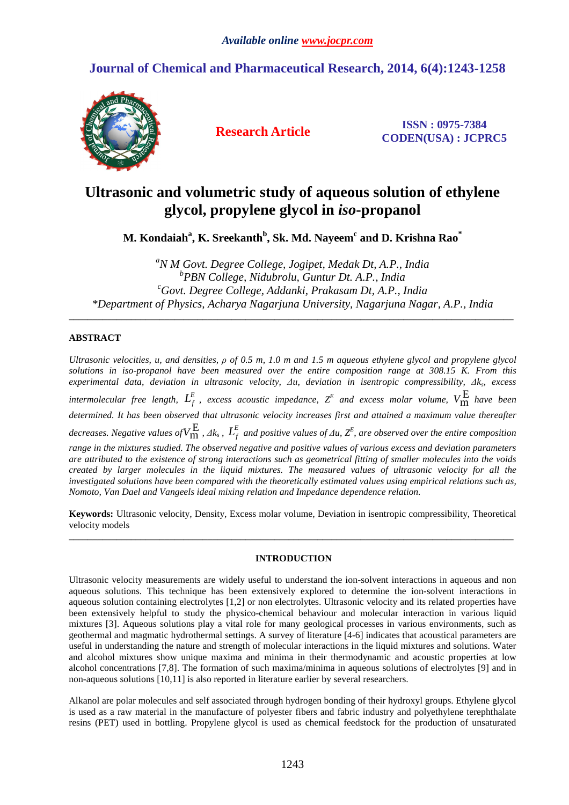# **Journal of Chemical and Pharmaceutical Research, 2014, 6(4):1243-1258**



**Research Article ISSN : 0975-7384 CODEN(USA) : JCPRC5**

# **Ultrasonic and volumetric study of aqueous solution of ethylene glycol, propylene glycol in** *iso***-propanol**

**M. Kondaiah<sup>a</sup> , K. Sreekanth<sup>b</sup> , Sk. Md. Nayeem<sup>c</sup> and D. Krishna Rao\*** 

*<sup>a</sup>N M Govt. Degree College, Jogipet, Medak Dt, A.P., India b PBN College, Nidubrolu, Guntur Dt. A.P., India <sup>c</sup>Govt. Degree College, Addanki, Prakasam Dt, A.P., India \*Department of Physics, Acharya Nagarjuna University, Nagarjuna Nagar, A.P., India* 

\_\_\_\_\_\_\_\_\_\_\_\_\_\_\_\_\_\_\_\_\_\_\_\_\_\_\_\_\_\_\_\_\_\_\_\_\_\_\_\_\_\_\_\_\_\_\_\_\_\_\_\_\_\_\_\_\_\_\_\_\_\_\_\_\_\_\_\_\_\_\_\_\_\_\_\_\_\_\_\_\_\_\_\_\_\_\_\_\_\_\_\_\_

## **ABSTRACT**

*Ultrasonic velocities, u, and densities, ρ of 0.5 m, 1.0 m and 1.5 m aqueous ethylene glycol and propylene glycol solutions in iso-propanol have been measured over the entire composition range at 308.15 K. From this experimental data, deviation in ultrasonic velocity, ∆u, deviation in isentropic compressibility, ∆k<sup>s</sup> , excess*   $\hat{L}_{\text{r}}^{\text{E}}$  *intermolecular free length,*  $L_f^{\text{E}}$ *, excess acoustic impedance,*  $Z^{\text{E}}$  *and excess molar volume,*  $V^{\text{E}}_{\text{m}}$  *have been determined. It has been observed that ultrasonic velocity increases first and attained a maximum value thereafter*  decreases. Negative values of  $V_{\text{m}}^{\text{E}}$  ,  $\varLambda k_s$  ,  $L_f^E$  and positive values of  $\varLambda u$ ,  $Z^E$ , are observed over the entire composition *range in the mixtures studied. The observed negative and positive values of various excess and deviation parameters are attributed to the existence of strong interactions such as geometrical fitting of smaller molecules into the voids created by larger molecules in the liquid mixtures. The measured values of ultrasonic velocity for all the investigated solutions have been compared with the theoretically estimated values using empirical relations such as, Nomoto, Van Dael and Vangeels ideal mixing relation and Impedance dependence relation.* 

**Keywords:** Ultrasonic velocity, Density, Excess molar volume, Deviation in isentropic compressibility, Theoretical velocity models \_\_\_\_\_\_\_\_\_\_\_\_\_\_\_\_\_\_\_\_\_\_\_\_\_\_\_\_\_\_\_\_\_\_\_\_\_\_\_\_\_\_\_\_\_\_\_\_\_\_\_\_\_\_\_\_\_\_\_\_\_\_\_\_\_\_\_\_\_\_\_\_\_\_\_\_\_\_\_\_\_\_\_\_\_\_\_\_\_\_\_\_\_

### **INTRODUCTION**

Ultrasonic velocity measurements are widely useful to understand the ion-solvent interactions in aqueous and non aqueous solutions. This technique has been extensively explored to determine the ion-solvent interactions in aqueous solution containing electrolytes [1,2] or non electrolytes. Ultrasonic velocity and its related properties have been extensively helpful to study the physico-chemical behaviour and molecular interaction in various liquid mixtures [3]. Aqueous solutions play a vital role for many geological processes in various environments, such as geothermal and magmatic hydrothermal settings. A survey of literature [4-6] indicates that acoustical parameters are useful in understanding the nature and strength of molecular interactions in the liquid mixtures and solutions. Water and alcohol mixtures show unique maxima and minima in their thermodynamic and acoustic properties at low alcohol concentrations [7,8]. The formation of such maxima/minima in aqueous solutions of electrolytes [9] and in non-aqueous solutions [10,11] is also reported in literature earlier by several researchers.

Alkanol are polar molecules and self associated through hydrogen bonding of their hydroxyl groups. Ethylene glycol is used as a raw material in the manufacture of polyester fibers and fabric industry and polyethylene terephthalate resins (PET) used in bottling. Propylene glycol is used as chemical feedstock for the production of unsaturated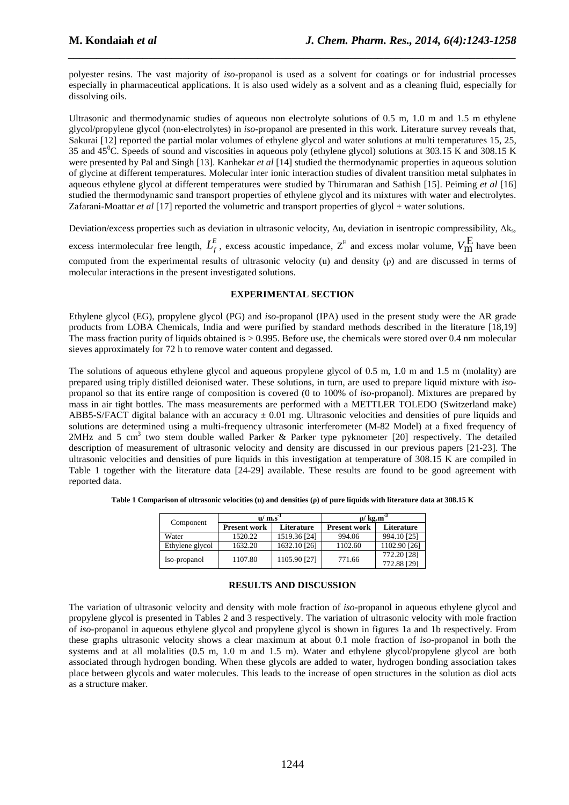polyester resins. The vast majority of *iso*-propanol is used as a solvent for coatings or for industrial processes especially in pharmaceutical applications. It is also used widely as a solvent and as a cleaning fluid, especially for dissolving oils.

*\_\_\_\_\_\_\_\_\_\_\_\_\_\_\_\_\_\_\_\_\_\_\_\_\_\_\_\_\_\_\_\_\_\_\_\_\_\_\_\_\_\_\_\_\_\_\_\_\_\_\_\_\_\_\_\_\_\_\_\_\_\_\_\_\_\_\_\_\_\_\_\_\_\_\_\_\_\_*

Ultrasonic and thermodynamic studies of aqueous non electrolyte solutions of 0.5 m, 1.0 m and 1.5 m ethylene glycol/propylene glycol (non-electrolytes) in *iso*-propanol are presented in this work. Literature survey reveals that, Sakurai [12] reported the partial molar volumes of ethylene glycol and water solutions at multi temperatures 15, 25, 35 and 45<sup>0</sup>C. Speeds of sound and viscosities in aqueous poly (ethylene glycol) solutions at 303.15 K and 308.15 K were presented by Pal and Singh [13]. Kanhekar *et al* [14] studied the thermodynamic properties in aqueous solution of glycine at different temperatures. Molecular inter ionic interaction studies of divalent transition metal sulphates in aqueous ethylene glycol at different temperatures were studied by Thirumaran and Sathish [15]. Peiming *et al* [16] studied the thermodynamic sand transport properties of ethylene glycol and its mixtures with water and electrolytes. Zafarani-Moattar *et al* [17] reported the volumetric and transport properties of glycol + water solutions.

Deviation/excess properties such as deviation in ultrasonic velocity, Δu, deviation in isentropic compressibility, Δk<sub>s</sub>, excess intermolecular free length,  $L_f^E$ , excess acoustic impedance,  $Z^E$  and excess molar volume,  $V_{m}^E$  have been computed from the experimental results of ultrasonic velocity (u) and density (ρ) and are discussed in terms of molecular interactions in the present investigated solutions.

#### **EXPERIMENTAL SECTION**

Ethylene glycol (EG), propylene glycol (PG) and *iso*-propanol (IPA) used in the present study were the AR grade products from LOBA Chemicals, India and were purified by standard methods described in the literature [18,19] The mass fraction purity of liquids obtained is  $> 0.995$ . Before use, the chemicals were stored over 0.4 nm molecular sieves approximately for 72 h to remove water content and degassed.

The solutions of aqueous ethylene glycol and aqueous propylene glycol of 0.5 m, 1.0 m and 1.5 m (molality) are prepared using triply distilled deionised water. These solutions, in turn, are used to prepare liquid mixture with *iso*propanol so that its entire range of composition is covered (0 to 100% of *iso*-propanol). Mixtures are prepared by mass in air tight bottles. The mass measurements are performed with a METTLER TOLEDO (Switzerland make) ABB5-S/FACT digital balance with an accuracy  $\pm$  0.01 mg. Ultrasonic velocities and densities of pure liquids and solutions are determined using a multi-frequency ultrasonic interferometer (M-82 Model) at a fixed frequency of 2MHz and 5 cm<sup>3</sup> two stem double walled Parker & Parker type pyknometer [20] respectively. The detailed description of measurement of ultrasonic velocity and density are discussed in our previous papers [21-23]. The ultrasonic velocities and densities of pure liquids in this investigation at temperature of 308.15 K are compiled in Table 1 together with the literature data [24-29] available. These results are found to be good agreement with reported data.

|  |  |  |  | Table 1 Comparison of ultrasonic velocities (u) and densities (p) of pure liquids with literature data at 308.15 K |
|--|--|--|--|--------------------------------------------------------------------------------------------------------------------|
|--|--|--|--|--------------------------------------------------------------------------------------------------------------------|

| Component       | $\mathbf{u}/\mathbf{m}$ .s <sup>-1</sup> |              | $\rho$ / kg.m <sup>-3</sup> |                            |  |
|-----------------|------------------------------------------|--------------|-----------------------------|----------------------------|--|
|                 | <b>Present work</b>                      | Literature   | <b>Present work</b>         | Literature                 |  |
| Water           | 1520.22                                  | 1519.36 [24] | 994.06                      | 994.10 [25]                |  |
| Ethylene glycol | 1632.20                                  | 1632.10 [26] | 1102.60                     | 1102.90 [26]               |  |
| Iso-propanol    | 1107.80                                  | 1105.90 [27] | 771.66                      | 772.20 [28]<br>772.88 [29] |  |

#### **RESULTS AND DISCUSSION**

The variation of ultrasonic velocity and density with mole fraction of *iso*-propanol in aqueous ethylene glycol and propylene glycol is presented in Tables 2 and 3 respectively. The variation of ultrasonic velocity with mole fraction of *iso*-propanol in aqueous ethylene glycol and propylene glycol is shown in figures 1a and 1b respectively. From these graphs ultrasonic velocity shows a clear maximum at about 0.1 mole fraction of *iso*-propanol in both the systems and at all molalities (0.5 m, 1.0 m and 1.5 m). Water and ethylene glycol/propylene glycol are both associated through hydrogen bonding. When these glycols are added to water, hydrogen bonding association takes place between glycols and water molecules. This leads to the increase of open structures in the solution as diol acts as a structure maker.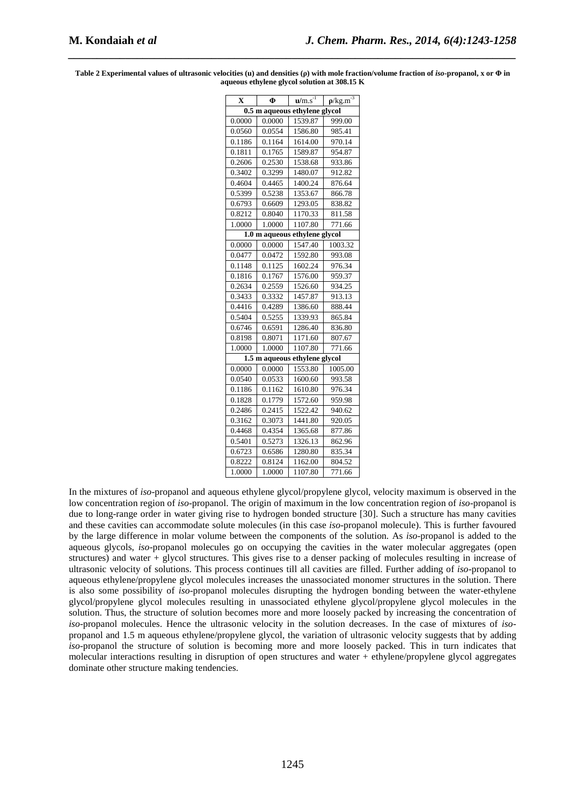| X                             | Ф      | $\overline{\mathbf{u}/\mathbf{m}.\mathbf{s}^{\text{-}1}}$ | $\rho$ /kg.m <sup>-3</sup> |  |  |  |  |
|-------------------------------|--------|-----------------------------------------------------------|----------------------------|--|--|--|--|
| 0.5 m aqueous ethylene glycol |        |                                                           |                            |  |  |  |  |
| 0.0000                        | 0.0000 | 1539.87                                                   | 999.00                     |  |  |  |  |
| 0.0560                        | 0.0554 | 1586.80                                                   | 985.41                     |  |  |  |  |
| 0.1186                        | 0.1164 | 1614.00                                                   | 970.14                     |  |  |  |  |
| 0.1811                        | 0.1765 | 1589.87                                                   | 954.87                     |  |  |  |  |
| 0.2606                        | 0.2530 | 1538.68                                                   | 933.86                     |  |  |  |  |
| 0.3402                        | 0.3299 | 1480.07                                                   | 912.82                     |  |  |  |  |
| 0.4604                        | 0.4465 | 1400.24                                                   | 876.64                     |  |  |  |  |
| 0.5399                        | 0.5238 | 1353.67                                                   | 866.78                     |  |  |  |  |
| 0.6793                        | 0.6609 | 1293.05                                                   | 838.82                     |  |  |  |  |
| 0.8212                        | 0.8040 | 1170.33                                                   | 811.58                     |  |  |  |  |
| 1.0000                        | 1.0000 | 1107.80                                                   | 771.66                     |  |  |  |  |
|                               |        | 1.0 m aqueous ethylene glycol                             |                            |  |  |  |  |
| 0.0000                        | 0.0000 | 1547.40                                                   | 1003.32                    |  |  |  |  |
| 0.0477                        | 0.0472 | 1592.80                                                   | 993.08                     |  |  |  |  |
| 0.1148                        | 0.1125 | 1602.24                                                   | 976.34                     |  |  |  |  |
| 0.1816                        | 0.1767 | 1576.00                                                   | 959.37                     |  |  |  |  |
| 0.2634                        | 0.2559 | 1526.60                                                   | 934.25                     |  |  |  |  |
| 0.3433                        | 0.3332 | 1457.87                                                   | 913.13                     |  |  |  |  |
| 0.4416                        | 0.4289 | 1386.60                                                   | 888.44                     |  |  |  |  |
| 0.5404                        | 0.5255 | 1339.93                                                   | 865.84                     |  |  |  |  |
| 0.6746                        | 0.6591 | 1286.40                                                   | 836.80                     |  |  |  |  |
| 0.8198                        | 0.8071 | 1171.60                                                   | 807.67                     |  |  |  |  |
| 1.0000                        | 1.0000 | 1107.80                                                   | 771.66                     |  |  |  |  |
|                               |        | 1.5 m aqueous ethylene glycol                             |                            |  |  |  |  |
| 0.0000                        | 0.0000 | 1553.80                                                   | 1005.00                    |  |  |  |  |
| 0.0540                        | 0.0533 | 1600.60                                                   | 993.58                     |  |  |  |  |
| 0.1186                        | 0.1162 | 1610.80                                                   | 976.34                     |  |  |  |  |
| 0.1828                        | 0.1779 | 1572.60                                                   | 959.98                     |  |  |  |  |
| 0.2486                        | 0.2415 | 1522.42                                                   | 940.62                     |  |  |  |  |
| 0.3162                        | 0.3073 | 1441.80                                                   | 920.05                     |  |  |  |  |
| 0.4468                        | 0.4354 | 1365.68                                                   | 877.86                     |  |  |  |  |
| 0.5401                        | 0.5273 | 1326.13                                                   | 862.96                     |  |  |  |  |
| 0.6723                        | 0.6586 | 1280.80                                                   | 835.34                     |  |  |  |  |
| 0.8222                        | 0.8124 | 1162.00                                                   | 804.52                     |  |  |  |  |
| 1.0000                        | 1.0000 | 1107.80                                                   | 771.66                     |  |  |  |  |

**Table 2 Experimental values of ultrasonic velocities (u) and densities (ρ) with mole fraction/volume fraction of** *iso***-propanol, x or Φ in aqueous ethylene glycol solution at 308.15 K** 

*\_\_\_\_\_\_\_\_\_\_\_\_\_\_\_\_\_\_\_\_\_\_\_\_\_\_\_\_\_\_\_\_\_\_\_\_\_\_\_\_\_\_\_\_\_\_\_\_\_\_\_\_\_\_\_\_\_\_\_\_\_\_\_\_\_\_\_\_\_\_\_\_\_\_\_\_\_\_*

In the mixtures of *iso*-propanol and aqueous ethylene glycol/propylene glycol, velocity maximum is observed in the low concentration region of *iso*-propanol. The origin of maximum in the low concentration region of *iso*-propanol is due to long-range order in water giving rise to hydrogen bonded structure [30]. Such a structure has many cavities and these cavities can accommodate solute molecules (in this case *iso*-propanol molecule). This is further favoured by the large difference in molar volume between the components of the solution. As *iso*-propanol is added to the aqueous glycols, *iso*-propanol molecules go on occupying the cavities in the water molecular aggregates (open structures) and water + glycol structures. This gives rise to a denser packing of molecules resulting in increase of ultrasonic velocity of solutions. This process continues till all cavities are filled. Further adding of *iso*-propanol to aqueous ethylene/propylene glycol molecules increases the unassociated monomer structures in the solution. There is also some possibility of *iso*-propanol molecules disrupting the hydrogen bonding between the water-ethylene glycol/propylene glycol molecules resulting in unassociated ethylene glycol/propylene glycol molecules in the solution. Thus, the structure of solution becomes more and more loosely packed by increasing the concentration of *iso*-propanol molecules. Hence the ultrasonic velocity in the solution decreases. In the case of mixtures of *iso*propanol and 1.5 m aqueous ethylene/propylene glycol, the variation of ultrasonic velocity suggests that by adding *iso*-propanol the structure of solution is becoming more and more loosely packed. This in turn indicates that molecular interactions resulting in disruption of open structures and water + ethylene/propylene glycol aggregates dominate other structure making tendencies.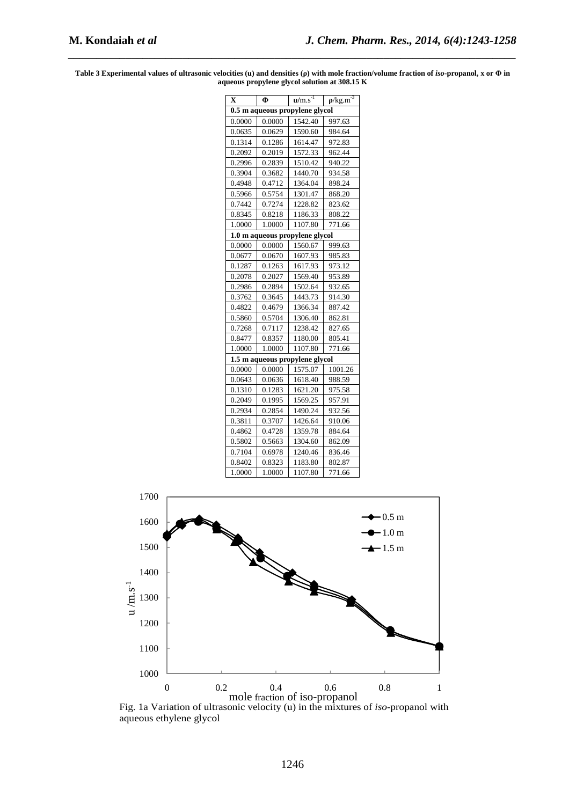**Table 3 Experimental values of ultrasonic velocities (u) and densities (ρ) with mole fraction/volume fraction of** *iso***-propanol, x or Φ in aqueous propylene glycol solution at 308.15 K** 

| $\mathbf X$ | Ф      | $\overline{\mathbf{u}/\mathbf{m}}$ .s <sup>-1</sup> | $\rho$ /kg.m <sup>-3</sup> |
|-------------|--------|-----------------------------------------------------|----------------------------|
|             |        | 0.5 m aqueous propylene glycol                      |                            |
| 0.0000      | 0.0000 | 1542.40                                             | 997.63                     |
| 0.0635      | 0.0629 | 1590.60                                             | 984.64                     |
| 0.1314      | 0.1286 | 1614.47                                             | 972.83                     |
| 0.2092      | 0.2019 | 1572.33                                             | 962.44                     |
| 0.2996      | 0.2839 | 1510.42                                             | 940.22                     |
| 0.3904      | 0.3682 | 1440.70                                             | 934.58                     |
| 0.4948      | 0.4712 | 1364.04                                             | 898.24                     |
| 0.5966      | 0.5754 | 1301.47                                             | 868.20                     |
| 0.7442      | 0.7274 | 1228.82                                             | 823.62                     |
| 0.8345      | 0.8218 | 1186.33                                             | 808.22                     |
| 1.0000      | 1.0000 | 1107.80                                             | 771.66                     |
|             |        | 1.0 m aqueous propylene glycol                      |                            |
| 0.0000      | 0.0000 | 1560.67                                             | 999.63                     |
| 0.0677      | 0.0670 | 1607.93                                             | 985.83                     |
| 0.1287      | 0.1263 | 1617.93                                             | 973.12                     |
| 0.2078      | 0.2027 | 1569.40                                             | 953.89                     |
| 0.2986      | 0.2894 | 1502.64                                             | 932.65                     |
| 0.3762      | 0.3645 | 1443.73                                             | 914.30                     |
| 0.4822      | 0.4679 | 1366.34                                             | 887.42                     |
| 0.5860      | 0.5704 | 1306.40                                             | 862.81                     |
| 0.7268      | 0.7117 | 1238.42                                             | 827.65                     |
| 0.8477      | 0.8357 | 1180.00                                             | 805.41                     |
| 1.0000      | 1.0000 | 1107.80                                             | 771.66                     |
|             |        | 1.5 m aqueous propylene glycol                      |                            |
| 0.0000      | 0.0000 | 1575.07                                             | 1001.26                    |
| 0.0643      | 0.0636 | 1618.40                                             | 988.59                     |
| 0.1310      | 0.1283 | 1621.20                                             | 975.58                     |
| 0.2049      | 0.1995 | 1569.25                                             | 957.91                     |
| 0.2934      | 0.2854 | 1490.24                                             | 932.56                     |
| 0.3811      | 0.3707 | 1426.64                                             | 910.06                     |
| 0.4862      | 0.4728 | 1359.78                                             | 884.64                     |
| 0.5802      | 0.5663 | 1304.60                                             | 862.09                     |
| 0.7104      | 0.6978 | 1240.46                                             | 836.46                     |
| 0.8402      | 0.8323 | 1183.80                                             | 802.87                     |
| 1.0000      | 1.0000 | 1107.80                                             | 771.66                     |



Fig. 1a Variation of ultrasonic velocity (u) in the mixtures of *iso*-propanol with aqueous ethylene glycol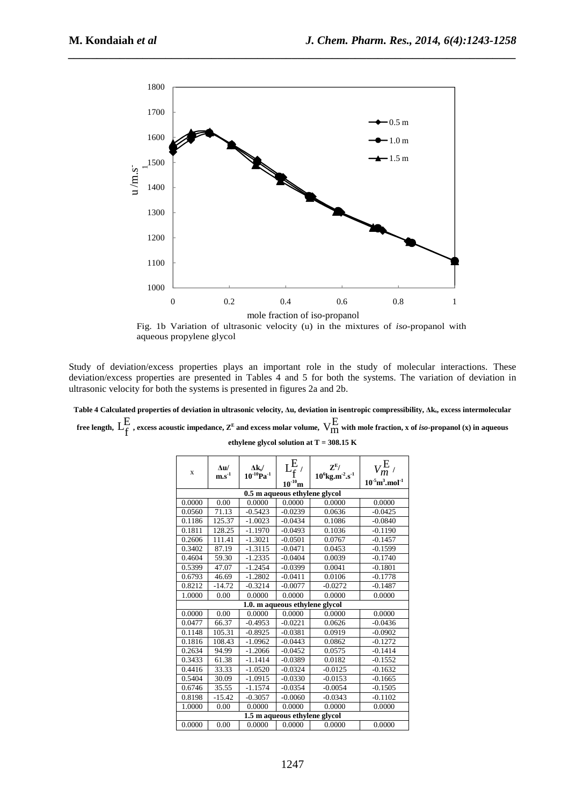

Fig. 1b Variation of ultrasonic velocity (u) in the mixtures of *iso*-propanol with aqueous propylene glycol

Study of deviation/excess properties plays an important role in the study of molecular interactions. These deviation/excess properties are presented in Tables 4 and 5 for both the systems. The variation of deviation in ultrasonic velocity for both the systems is presented in figures 2a and 2b.

**Table 4 Calculated properties of deviation in ultrasonic velocity, ∆u, deviation in isentropic compressibility, ∆ks, excess intermolecular**  free length,  $L_f^E$  , excess acoustic impedance,  $z^E$  and excess molar volume,  $V_{\rm IM}^E$  with mole fraction, x of *iso*-propanol (x) in aqueous

| ethylene glycol solution at T = 308.15 K |  |  |  |
|------------------------------------------|--|--|--|
|------------------------------------------|--|--|--|

| $\mathbf x$                   | $\Delta u/$<br>$\mathbf{m}.\mathbf{s}^{-1}$ | $\Delta$ ks/<br>$10^{-10}Pa^{-1}$ | $\mathrm{L}^E_{\mathrm{f}}$ ,<br>$\mathbf{Z}^{\mathrm{E}}$ /<br>$10^6$ kg.m <sup>-2</sup> .s <sup>-1</sup> |           | $V_m^{\rm E}$ /                             |  |  |  |
|-------------------------------|---------------------------------------------|-----------------------------------|------------------------------------------------------------------------------------------------------------|-----------|---------------------------------------------|--|--|--|
|                               |                                             |                                   | $10^{-10}$ m                                                                                               |           | $10^{-5}$ m <sup>3</sup> .mol <sup>-1</sup> |  |  |  |
| 0.5 m aqueous ethylene glycol |                                             |                                   |                                                                                                            |           |                                             |  |  |  |
| 0.0000                        | 0.00                                        | 0.0000                            | 0.0000                                                                                                     | 0.0000    | 0.0000                                      |  |  |  |
| 0.0560                        | 71.13                                       | $-0.5423$                         | $-0.0239$                                                                                                  | 0.0636    | $-0.0425$                                   |  |  |  |
| 0.1186                        | 125.37                                      | $-1.0023$                         | $-0.0434$                                                                                                  | 0.1086    | $-0.0840$                                   |  |  |  |
| 0.1811                        | 128.25                                      | $-1.1970$                         | $-0.0493$                                                                                                  | 0.1036    | $-0.1190$                                   |  |  |  |
| 0.2606                        | 111.41                                      | $-1.3021$                         | $-0.0501$                                                                                                  | 0.0767    | $-0.1457$                                   |  |  |  |
| 0.3402                        | 87.19                                       | $-1.3115$                         | $-0.0471$                                                                                                  | 0.0453    | $-0.1599$                                   |  |  |  |
| 0.4604                        | 59.30                                       | $-1.2335$                         | $-0.0404$                                                                                                  | 0.0039    | $-0.1740$                                   |  |  |  |
| 0.5399                        | 47.07                                       | $-1.2454$                         | $-0.0399$                                                                                                  | 0.0041    | $-0.1801$                                   |  |  |  |
| 0.6793                        | 46.69                                       | $-1.2802$                         | $-0.0411$                                                                                                  | 0.0106    | $-0.1778$                                   |  |  |  |
| 0.8212                        | $-14.72$                                    | $-0.3214$                         | $-0.0077$                                                                                                  | $-0.0272$ | $-0.1487$                                   |  |  |  |
| 1.0000                        | 0.00                                        | 0.0000                            | 0.0000                                                                                                     | 0.0000    | 0.0000                                      |  |  |  |
|                               |                                             |                                   | 1.0. m aqueous ethylene glycol                                                                             |           |                                             |  |  |  |
| 0.0000                        | 0.00                                        | 0.0000                            | 0.0000                                                                                                     | 0.0000    | 0.0000                                      |  |  |  |
| 0.0477                        | 66.37                                       | $-0.4953$                         | $-0.0221$                                                                                                  | 0.0626    | $-0.0436$                                   |  |  |  |
| 0.1148                        | 105.31                                      | $-0.8925$                         | $-0.0381$                                                                                                  | 0.0919    | $-0.0902$                                   |  |  |  |
| 0.1816                        | 108.43                                      | $-1.0962$                         | $-0.0443$                                                                                                  | 0.0862    | $-0.1272$                                   |  |  |  |
| 0.2634                        | 94.99                                       | $-1.2066$                         | $-0.0452$                                                                                                  | 0.0575    | $-0.1414$                                   |  |  |  |
| 0.3433                        | 61.38                                       | $-1.1414$                         | $-0.0389$                                                                                                  | 0.0182    | $-0.1552$                                   |  |  |  |
| 0.4416                        | 33.33                                       | $-1.0520$                         | $-0.0324$                                                                                                  | $-0.0125$ | $-0.1632$                                   |  |  |  |
| 0.5404                        | 30.09                                       | $-1.0915$                         | $-0.0330$                                                                                                  | $-0.0153$ | $-0.1665$                                   |  |  |  |
| 0.6746                        | 35.55                                       | $-1.1574$                         | $-0.0354$                                                                                                  | $-0.0054$ | $-0.1505$                                   |  |  |  |
| 0.8198                        | $-15.42$                                    | $-0.3057$                         | $-0.0060$                                                                                                  | $-0.0343$ | $-0.1102$                                   |  |  |  |
| 1.0000                        | 0.00                                        | 0.0000                            | 0.0000                                                                                                     | 0.0000    | 0.0000                                      |  |  |  |
|                               |                                             |                                   | 1.5 m aqueous ethylene glycol                                                                              |           |                                             |  |  |  |
| 0.0000                        | 0.00                                        | 0.0000                            | 0.0000                                                                                                     | 0.0000    | 0.0000                                      |  |  |  |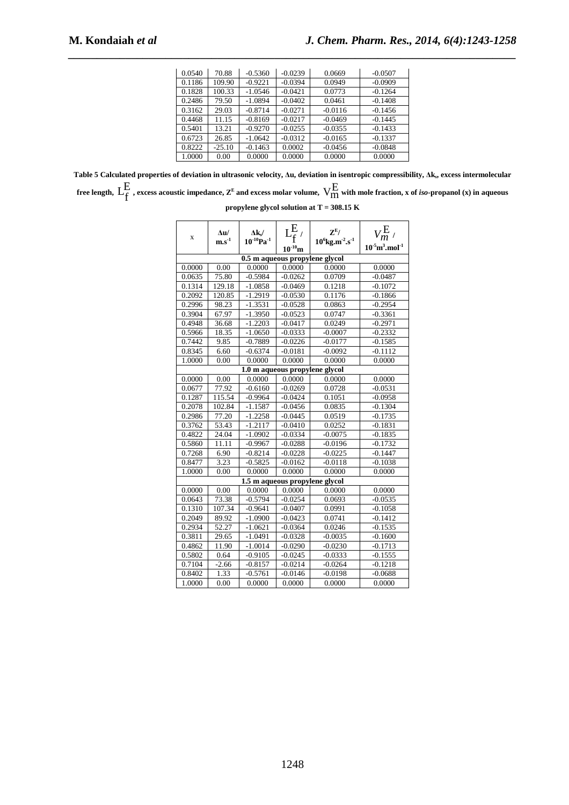| 0.0540 | 70.88    | $-0.5360$ | $-0.0239$ | 0.0669    | $-0.0507$ |
|--------|----------|-----------|-----------|-----------|-----------|
| 0.1186 | 109.90   | $-0.9221$ | $-0.0394$ | 0.0949    | $-0.0909$ |
| 0.1828 | 100.33   | $-1.0546$ | $-0.0421$ | 0.0773    | $-0.1264$ |
| 0.2486 | 79.50    | $-1.0894$ | $-0.0402$ | 0.0461    | $-0.1408$ |
| 0.3162 | 29.03    | $-0.8714$ | $-0.0271$ | $-0.0116$ | $-0.1456$ |
| 0.4468 | 11.15    | $-0.8169$ | $-0.0217$ | $-0.0469$ | $-0.1445$ |
| 0.5401 | 13.21    | $-0.9270$ | $-0.0255$ | $-0.0355$ | $-0.1433$ |
| 0.6723 | 26.85    | $-1.0642$ | $-0.0312$ | $-0.0165$ | $-0.1337$ |
| 0.8222 | $-25.10$ | $-0.1463$ | 0.0002    | $-0.0456$ | $-0.0848$ |
| 1.0000 | 0.00     | 0.0000    | 0.0000    | 0.0000    | 0.0000    |

**Table 5 Calculated properties of deviation in ultrasonic velocity, ∆u, deviation in isentropic compressibility, ∆ks, excess intermolecular**  free length,  $L_f^E$  , excess acoustic impedance,  $z^E$  and excess molar volume,  $V_{\rm IM}^E$  with mole fraction, x of *iso-*propanol (x) in aqueous

|  |  | propylene glycol solution at T = 308.15 $\rm K$ |  |  |
|--|--|-------------------------------------------------|--|--|
|  |  |                                                 |  |  |

| x                              | $\Delta u/$<br>$\mathbf{m}.\mathbf{s}^{\text{-}1}$ | $\Delta k_s/$<br>$10^{-10}$ Pa <sup>-1</sup> | $10^{-10}$ m | $\mathbf{Z}^{\mathrm{E}}$ /<br>$10^6$ kg.m <sup>-2</sup> .s <sup>-1</sup> | $V_m^{\rm E}$<br>$10^{-5}$ m <sup>3</sup> .mol <sup>-1</sup> |  |  |  |
|--------------------------------|----------------------------------------------------|----------------------------------------------|--------------|---------------------------------------------------------------------------|--------------------------------------------------------------|--|--|--|
|                                |                                                    | 0.5 m aqueous propylene glycol               |              |                                                                           |                                                              |  |  |  |
| 0.0000                         | 0.00                                               | 0.0000                                       | 0.0000       | 0.0000                                                                    | 0.0000                                                       |  |  |  |
| 0.0635                         | 75.80                                              | $-0.5984$                                    | $-0.0262$    | 0.0709                                                                    | $-0.0487$                                                    |  |  |  |
| 0.1314                         | 129.18                                             | $-1.0858$                                    | $-0.0469$    | 0.1218                                                                    | $-0.1072$                                                    |  |  |  |
| 0.2092                         | 120.85                                             | $-1.2919$                                    | $-0.0530$    | 0.1176                                                                    | $-0.1866$                                                    |  |  |  |
| 0.2996                         | 98.23                                              | $-1.3531$                                    | $-0.0528$    | 0.0863                                                                    | $-0.2954$                                                    |  |  |  |
| 0.3904                         | 67.97                                              | $-1.3950$                                    | $-0.0523$    | 0.0747                                                                    | $-0.3361$                                                    |  |  |  |
| 0.4948                         | 36.68                                              | $-1.2203$                                    | $-0.0417$    | 0.0249                                                                    | $-0.2971$                                                    |  |  |  |
| 0.5966                         | 18.35                                              | $-1.0650$                                    | $-0.0333$    | $-0.0007$                                                                 | $-0.2332$                                                    |  |  |  |
| 0.7442                         | 9.85                                               | $-0.7889$                                    | $-0.0226$    | $-0.0177$                                                                 | $-0.1585$                                                    |  |  |  |
| 0.8345                         | 6.60                                               | $-0.6374$                                    | $-0.0181$    | $-0.0092$                                                                 | $-0.1112$                                                    |  |  |  |
| 1.0000                         | 0.00                                               | 0.0000                                       | 0.0000       | 0.0000                                                                    | 0.0000                                                       |  |  |  |
| 1.0 m aqueous propylene glycol |                                                    |                                              |              |                                                                           |                                                              |  |  |  |
| 0.0000                         | 0.00                                               | 0.0000                                       | 0.0000       | 0.0000                                                                    | 0.0000                                                       |  |  |  |
| 0.0677                         | 77.92                                              | $-0.6160$                                    | $-0.0269$    | 0.0728                                                                    | $-0.0531$                                                    |  |  |  |
| 0.1287                         | 115.54                                             | $-0.9964$                                    | $-0.0424$    | 0.1051                                                                    | $-0.0958$                                                    |  |  |  |
| 0.2078                         | 102.84                                             | $-1.1587$                                    | $-0.0456$    | 0.0835                                                                    | $-0.1304$                                                    |  |  |  |
| 0.2986                         | 77.20                                              | $-1.2258$                                    | $-0.0445$    | 0.0519                                                                    | $-0.1735$                                                    |  |  |  |
| 0.3762                         | 53.43                                              | $-1.2117$                                    | $-0.0410$    | 0.0252                                                                    | $-0.1831$                                                    |  |  |  |
| 0.4822                         | 24.04                                              | $-1.0902$                                    | $-0.0334$    | $-0.0075$                                                                 | $-0.1835$                                                    |  |  |  |
| 0.5860                         | 11.11                                              | $-0.9967$                                    | $-0.0288$    | $-0.0196$                                                                 | $-0.1732$                                                    |  |  |  |
| 0.7268                         | 6.90                                               | $-0.8214$                                    | $-0.0228$    | $-0.0225$                                                                 | $-0.1447$                                                    |  |  |  |
| 0.8477                         | 3.23                                               | $-0.5825$                                    | $-0.0162$    | $-0.0118$                                                                 | $-0.1038$                                                    |  |  |  |
| 1.0000                         | 0.00                                               | 0.0000                                       | 0.0000       | 0.0000                                                                    | 0.0000                                                       |  |  |  |
|                                |                                                    | 1.5 m aqueous propylene glycol               |              |                                                                           |                                                              |  |  |  |
| 0.0000                         | 0.00                                               | 0.0000                                       | 0.0000       | 0.0000                                                                    | 0.0000                                                       |  |  |  |
| 0.0643                         | 73.38                                              | $-0.5794$                                    | $-0.0254$    | 0.0693                                                                    | $-0.0535$                                                    |  |  |  |
| 0.1310                         | 107.34                                             | $-0.9641$                                    | -0.0407      | 0.0991                                                                    | $-0.1058$                                                    |  |  |  |
| 0.2049                         | 89.92                                              | $-1.0900$                                    | $-0.0423$    | 0.0741                                                                    | $-0.1412$                                                    |  |  |  |
| 0.2934                         | 52.27                                              | $-1.0621$                                    | $-0.0364$    | 0.0246                                                                    | $-0.1535$                                                    |  |  |  |
| 0.3811                         | 29.65                                              | $-1.0491$                                    | $-0.0328$    | $-0.0035$                                                                 | $-0.1600$                                                    |  |  |  |
| 0.4862                         | 11.90                                              | $-1.0014$                                    | $-0.0290$    | $-0.0230$                                                                 | $-0.1713$                                                    |  |  |  |
| 0.5802                         | 0.64                                               | $-0.9105$                                    | $-0.0245$    | $-0.0333$                                                                 | $-0.1555$                                                    |  |  |  |
| 0.7104                         | $-2.66$                                            | $-0.8157$                                    | $-0.0214$    | $-0.0264$                                                                 | $-0.1218$                                                    |  |  |  |
| 0.8402                         | 1.33                                               | $-0.5761$                                    | $-0.0146$    | $-0.0198$                                                                 | $-0.0688$                                                    |  |  |  |
| 1.0000                         | 0.00                                               | 0.0000                                       | 0.0000       | 0.0000                                                                    | 0.0000                                                       |  |  |  |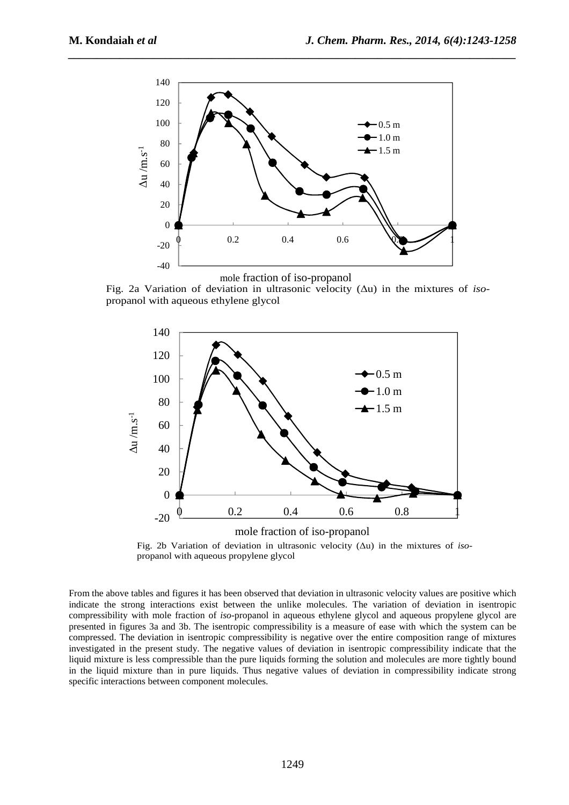

mole fraction of iso-propanol

Fig. 2a Variation of deviation in ultrasonic velocity (∆u) in the mixtures of *iso*propanol with aqueous ethylene glycol





From the above tables and figures it has been observed that deviation in ultrasonic velocity values are positive which indicate the strong interactions exist between the unlike molecules. The variation of deviation in isentropic compressibility with mole fraction of *iso*-propanol in aqueous ethylene glycol and aqueous propylene glycol are presented in figures 3a and 3b. The isentropic compressibility is a measure of ease with which the system can be compressed. The deviation in isentropic compressibility is negative over the entire composition range of mixtures investigated in the present study. The negative values of deviation in isentropic compressibility indicate that the liquid mixture is less compressible than the pure liquids forming the solution and molecules are more tightly bound in the liquid mixture than in pure liquids. Thus negative values of deviation in compressibility indicate strong specific interactions between component molecules.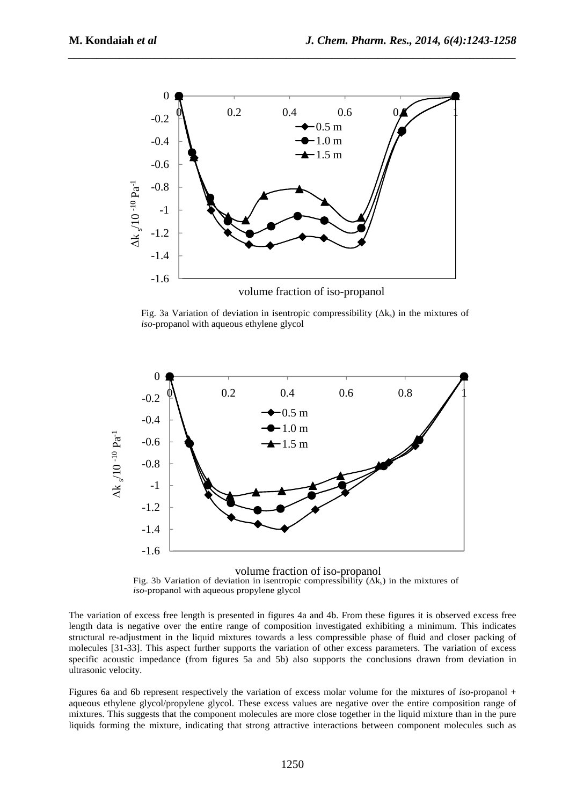

Fig. 3a Variation of deviation in isentropic compressibility  $(\Delta k_s)$  in the mixtures of *iso*-propanol with aqueous ethylene glycol



volume fraction of iso-propanol Fig. 3b Variation of deviation in isentropic compressibility  $(\Delta k_s)$  in the mixtures of *iso*-propanol with aqueous propylene glycol

The variation of excess free length is presented in figures 4a and 4b. From these figures it is observed excess free length data is negative over the entire range of composition investigated exhibiting a minimum. This indicates structural re-adjustment in the liquid mixtures towards a less compressible phase of fluid and closer packing of molecules [31-33]. This aspect further supports the variation of other excess parameters. The variation of excess specific acoustic impedance (from figures 5a and 5b) also supports the conclusions drawn from deviation in ultrasonic velocity.

Figures 6a and 6b represent respectively the variation of excess molar volume for the mixtures of *iso*-propanol + aqueous ethylene glycol/propylene glycol. These excess values are negative over the entire composition range of mixtures. This suggests that the component molecules are more close together in the liquid mixture than in the pure liquids forming the mixture, indicating that strong attractive interactions between component molecules such as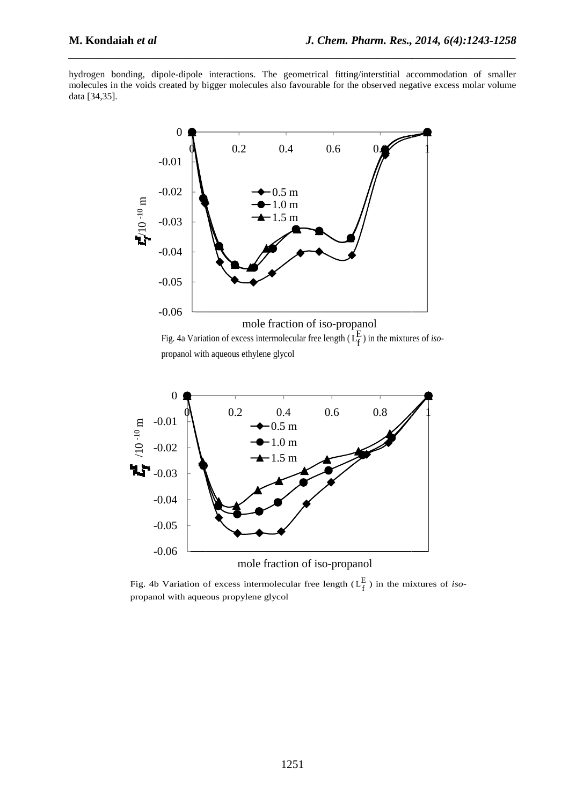hydrogen bonding, dipole-dipole interactions. The geometrical fitting/interstitial accommodation of smaller molecules in the voids created by bigger molecules also favourable for the observed negative excess molar volume data [34,35].







Fig. 4b Variation of excess intermolecular free length  $(L_f^E)$  in the mixtures of *iso*propanol with aqueous propylene glycol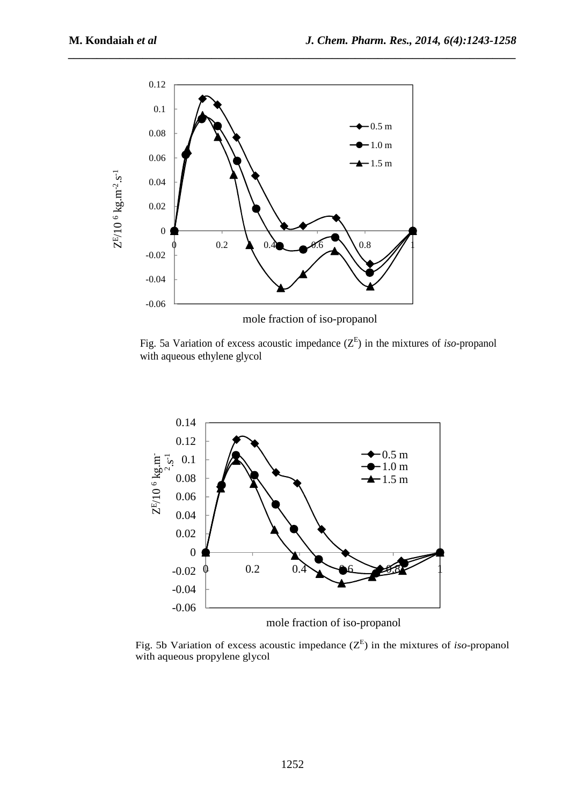

Fig. 5a Variation of excess acoustic impedance  $(Z^E)$  in the mixtures of *iso*-propanol with aqueous ethylene glycol



Fig. 5b Variation of excess acoustic impedance  $(Z^E)$  in the mixtures of *iso-*propanol with aqueous propylene glycol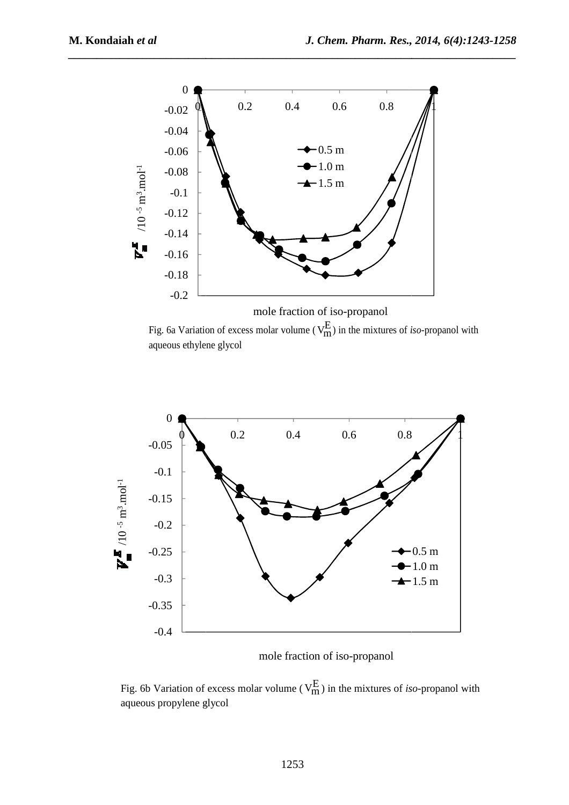

Fig. 6a Variation of excess molar volume ( $V_{m}^{E}$ ) in the mixtures of *iso*-propanol with aqueous ethylene glycol



mole fraction of iso-propanol

Fig. 6b Variation of excess molar volume ( $V_{m}^{E}$ ) in the mixtures of *iso*-propanol with aqueous propylene glycol glycol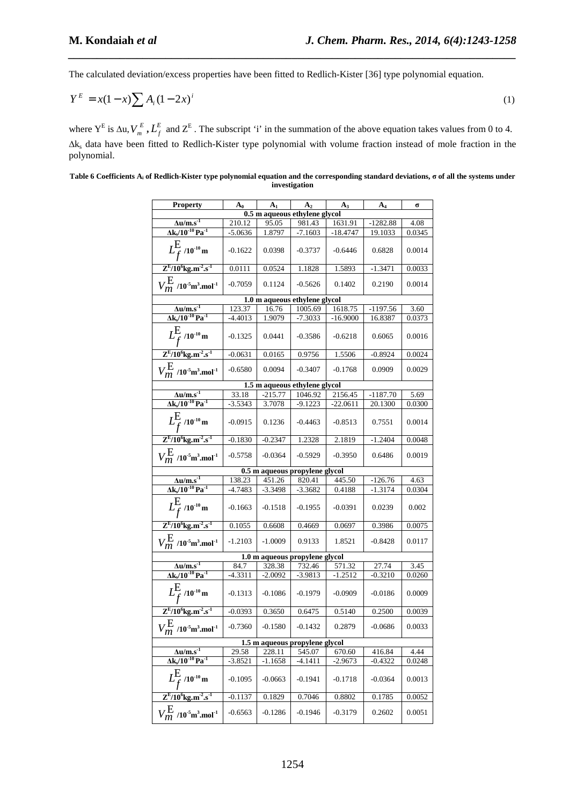The calculated deviation/excess properties have been fitted to Redlich-Kister [36] type polynomial equation.

$$
Y^{E} = x(1-x)\sum A_{i}(1-2x)^{i}
$$
 (1)

*\_\_\_\_\_\_\_\_\_\_\_\_\_\_\_\_\_\_\_\_\_\_\_\_\_\_\_\_\_\_\_\_\_\_\_\_\_\_\_\_\_\_\_\_\_\_\_\_\_\_\_\_\_\_\_\_\_\_\_\_\_\_\_\_\_\_\_\_\_\_\_\_\_\_\_\_\_\_*

where  $Y^E$  is  $\Delta u$ ,  $V_m^E$ ,  $L_f^E$  and  $Z^E$ . The subscript 'i' in the summation of the above equation takes values from 0 to 4. ∆k<sup>s</sup> data have been fitted to Redlich-Kister type polynomial with volume fraction instead of mole fraction in the polynomial.

**Table 6 Coefficients Ai of Redlich-Kister type polynomial equation and the corresponding standard deviations, σ of all the systems under investigation** 

| <b>Property</b>                                                        | $A_0$     | A <sub>1</sub> | A <sub>2</sub>                 | $A_3$      | $A_4$      | σ      |
|------------------------------------------------------------------------|-----------|----------------|--------------------------------|------------|------------|--------|
|                                                                        |           |                | 0.5 m aqueous ethylene glycol  |            |            |        |
| $\Delta$ u/m.s <sup>-1</sup>                                           | 210.12    | 95.05          | 981.43                         | 1631.91    | $-1282.88$ | 4.08   |
| $\Delta k_s / 10^{-10}$ Pa <sup>-1</sup>                               | $-5.0636$ | 1.8797         | $-7.1603$                      | $-18.4747$ | 19.1033    | 0.0345 |
| $L_{\rm f}^{\rm E}$ /10 <sup>-10</sup> m                               | $-0.1622$ | 0.0398         | $-0.3737$                      | $-0.6446$  | 0.6828     | 0.0014 |
| $Z^{E}/10^{6}$ kg.m <sup>-2</sup> .s <sup>-1</sup>                     | 0.0111    | 0.0524         | 1.1828                         | 1.5893     | $-1.3471$  | 0.0033 |
| $V_{m}^{\rm E}$ /10 <sup>-5</sup> m <sup>3</sup> .mol <sup>-1</sup>    | $-0.7059$ | 0.1124         | $-0.5626$                      | 0.1402     | 0.2190     | 0.0014 |
|                                                                        |           |                | 1.0 m aqueous ethylene glycol  |            |            |        |
| $\frac{\Delta u/m.s^{-1}}{\Delta k_s/10^{-10} Pa^{-1}}$                | 123.37    | 16.76          | 1005.69                        | 1618.75    | -1197.56   | 3.60   |
|                                                                        | -4.4013   | 1.9079         | $-7.3033$                      | $-16.9000$ | 16.8387    | 0.0373 |
| $L_{f}^{E}$ /10 <sup>-10</sup> m                                       | $-0.1325$ | 0.0441         | $-0.3586$                      | $-0.6218$  | 0.6065     | 0.0016 |
| $Z^{E}/10^{6}$ kg.m <sup>-2</sup> .s <sup>-1</sup>                     | $-0.0631$ | 0.0165         | 0.9756                         | 1.5506     | $-0.8924$  | 0.0024 |
| $V_{m}^{\text{E}}$ /10 <sup>-5</sup> m <sup>3</sup> .mol <sup>-1</sup> | $-0.6580$ | 0.0094         | $-0.3407$                      | $-0.1768$  | 0.0909     | 0.0029 |
|                                                                        |           |                | 1.5 m aqueous ethylene glycol  |            |            |        |
| $\Delta u/m.s^{-1}$                                                    | 33.18     | $-215.77$      | 1046.92                        | 2156.45    | $-1187.70$ | 5.69   |
| $\Delta k_s / 10^{-10}$ Pa <sup>-1</sup>                               | $-3.5343$ | 3.7078         | $-9.1223$                      | $-22.0611$ | 20.1300    | 0.0300 |
| $L_{f}^{E}$ /10 <sup>-10</sup> m                                       | $-0.0915$ | 0.1236         | $-0.4463$                      | $-0.8513$  | 0.7551     | 0.0014 |
| $Z^{E}/10^{6}$ kg.m <sup>-2</sup> .s <sup>-1</sup>                     | $-0.1830$ | $-0.2347$      | 1.2328                         | 2.1819     | $-1.2404$  | 0.0048 |
| $V_{m}^{\rm E}$ /10 <sup>-5</sup> m <sup>3</sup> .mol <sup>-1</sup>    | $-0.5758$ | $-0.0364$      | $-0.5929$                      | $-0.3950$  | 0.6486     | 0.0019 |
|                                                                        |           |                | 0.5 m aqueous propylene glycol |            |            |        |
| $\frac{\Delta u/m.s^{-1}}{\Delta k_s/10^{-10} Pa^{-1}}$                | 138.23    | 451.26         | 820.41                         | 445.50     | $-126.76$  | 4.63   |
|                                                                        | $-4.7483$ | $-3.3498$      | $-3.3682$                      | 0.4188     | $-1.3174$  | 0.0304 |
| $L_{f}^{E}$ /10 <sup>-10</sup> m                                       | $-0.1663$ | $-0.1518$      | $-0.1955$                      | $-0.0391$  | 0.0239     | 0.002  |
| $Z^{E}/10^{6}$ kg.m <sup>-2</sup> .s <sup>-1</sup>                     | 0.1055    | 0.6608         | 0.4669                         | 0.0697     | 0.3986     | 0.0075 |
| $V_{m}^{\text{E}}$ /10 <sup>-5</sup> m <sup>3</sup> .mol <sup>-1</sup> | $-1.2103$ | $-1.0009$      | 0.9133                         | 1.8521     | $-0.8428$  | 0.0117 |
|                                                                        |           |                | 1.0 m aqueous propylene glycol |            |            |        |
| $\frac{\Delta u/m.s^{-1}}{\Delta k_s/10^{-10} Pa^{-1}}$                | 84.7      | 328.38         | 732.46                         | 571.32     | 27.74      | 3.45   |
|                                                                        | $-4.3311$ | $-2.0092$      | $-3.9813$                      | $-1.2512$  | $-0.3210$  | 0.0260 |
| $L_f^{\text{E}}$ /10 <sup>-10</sup> m                                  | $-0.1313$ | $-0.1086$      | $-0.1979$                      | $-0.0909$  | $-0.0186$  | 0.0009 |
| $Z^{E}/10^{6}$ kg.m <sup>-2</sup> .s <sup>-1</sup>                     | $-0.0393$ | 0.3650         | 0.6475                         | 0.5140     | 0.2500     | 0.0039 |
| $V_{m}^{\rm E}$ /10 <sup>-5</sup> m <sup>3</sup> .mol <sup>-1</sup>    | $-0.7360$ | $-0.1580$      | $-0.1432$                      | 0.2879     | $-0.0686$  | 0.0033 |
|                                                                        |           |                | 1.5 m aqueous propylene glycol |            |            |        |
| $\Delta$ u/m.s <sup>-1</sup>                                           | 29.58     | 228.11         | 545.07                         | 670.60     | 416.84     | 4.44   |
| $\Delta k_s/10^{-10}$ Pa <sup>-1</sup>                                 | $-3.8521$ | $-1.1658$      | -4.1411                        | $-2.9673$  | $-0.4322$  | 0.0248 |
| $L^{\boxminus}$<br>$/10^{-10}$ m                                       | $-0.1095$ | $-0.0663$      | $-0.1941$                      | $-0.1718$  | $-0.0364$  | 0.0013 |
| $Z^{E}/10^{6}$ kg.m <sup>-2</sup> .s <sup>-1</sup>                     | $-0.1137$ | 0.1829         | 0.7046                         | 0.8802     | 0.1785     | 0.0052 |
| $V_{m}^{\text{E}}$ /10 <sup>-5</sup> m <sup>3</sup> .mol <sup>-1</sup> | $-0.6563$ | $-0.1286$      | $-0.1946$                      | $-0.3179$  | 0.2602     | 0.0051 |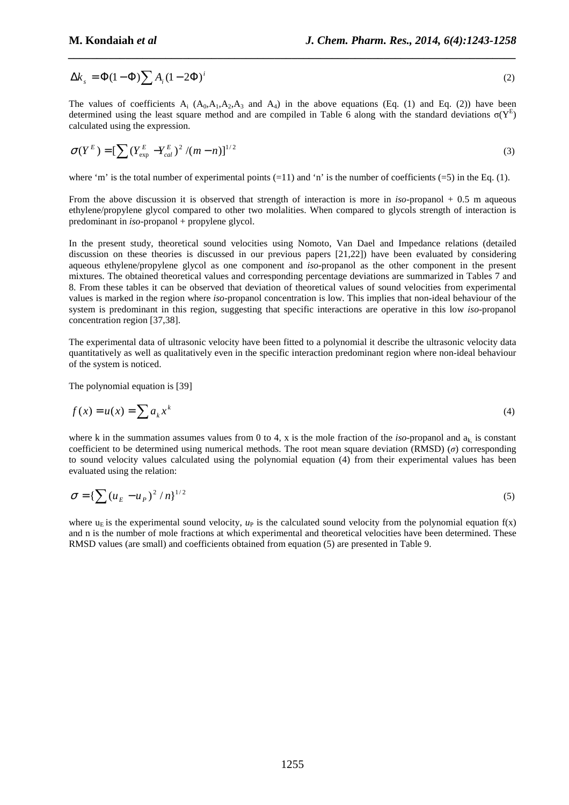$$
\Delta k_s = \Phi(1 - \Phi) \sum A_i (1 - 2\Phi)^i
$$
 (2)

The values of coefficients  $A_i$  ( $A_0$ , $A_1$ , $A_2$ , $A_3$  and  $A_4$ ) in the above equations (Eq. (1) and Eq. (2)) have been determined using the least square method and are compiled in Table 6 along with the standard deviations  $\sigma(Y^E)$ calculated using the expression.

$$
\sigma(Y^{E}) = \left[\sum_{\text{exp}} (Y_{\text{exp}}^{E} - Y_{\text{cal}}^{E})^{2} / (m - n)\right]^{1/2}
$$
\n(3)

where 'm' is the total number of experimental points  $(=11)$  and 'n' is the number of coefficients  $(=5)$  in the Eq. (1).

From the above discussion it is observed that strength of interaction is more in *iso*-propanol + 0.5 m aqueous ethylene/propylene glycol compared to other two molalities. When compared to glycols strength of interaction is predominant in *iso*-propanol + propylene glycol.

In the present study, theoretical sound velocities using Nomoto, Van Dael and Impedance relations (detailed discussion on these theories is discussed in our previous papers [21,22]) have been evaluated by considering aqueous ethylene/propylene glycol as one component and *iso*-propanol as the other component in the present mixtures. The obtained theoretical values and corresponding percentage deviations are summarized in Tables 7 and 8. From these tables it can be observed that deviation of theoretical values of sound velocities from experimental values is marked in the region where *iso*-propanol concentration is low. This implies that non-ideal behaviour of the system is predominant in this region, suggesting that specific interactions are operative in this low *iso*-propanol concentration region [37,38].

The experimental data of ultrasonic velocity have been fitted to a polynomial it describe the ultrasonic velocity data quantitatively as well as qualitatively even in the specific interaction predominant region where non-ideal behaviour of the system is noticed.

The polynomial equation is [39]

$$
f(x) = u(x) = \sum a_k x^k
$$
\n(4)

where k in the summation assumes values from 0 to 4, x is the mole fraction of the *iso*-propanol and  $a_k$  is constant coefficient to be determined using numerical methods. The root mean square deviation (RMSD) (*σ*) corresponding to sound velocity values calculated using the polynomial equation (4) from their experimental values has been evaluated using the relation:

$$
\sigma = \left\{ \sum (u_E - u_P)^2 / n \right\}^{1/2}
$$
 (5)

where  $u_{E}$  is the experimental sound velocity,  $u_{P}$  is the calculated sound velocity from the polynomial equation  $f(x)$ and n is the number of mole fractions at which experimental and theoretical velocities have been determined. These RMSD values (are small) and coefficients obtained from equation (5) are presented in Table 9.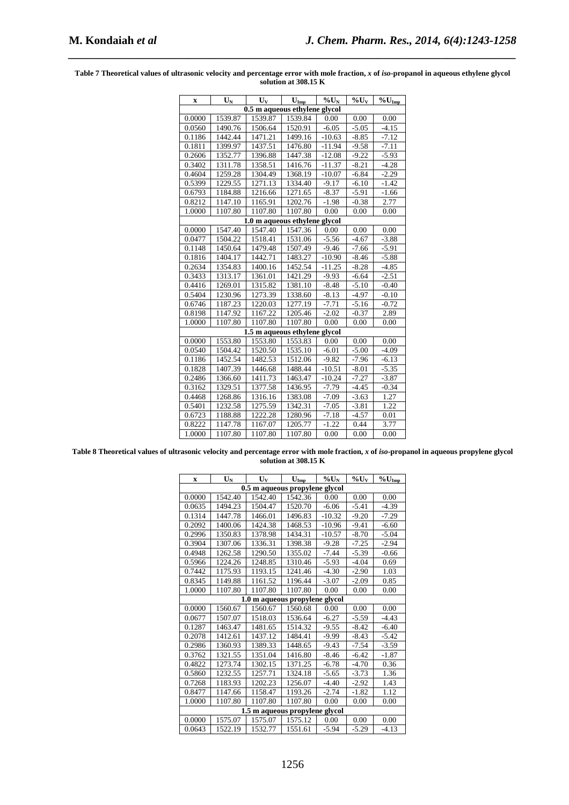| $\mathbf x$                   | $\mathbf{U}_\mathbf{N}$ | $\mathbf{U}_{\mathbf{V}}$     | $\mathbf{U}_{\text{Imp}}$ | $\overline{\frac{9}{6}}\overline{U}_{N}$ | $\%$ U <sub>V</sub> | $\overline{\mathcal{H}}_0 U_{Imp}$ |  |  |
|-------------------------------|-------------------------|-------------------------------|---------------------------|------------------------------------------|---------------------|------------------------------------|--|--|
| 0.5 m aqueous ethylene glycol |                         |                               |                           |                                          |                     |                                    |  |  |
| 0.0000                        | 1539.87                 | 1539.87                       | 1539.84                   | 0.00                                     | 0.00                | 0.00                               |  |  |
| 0.0560                        | 1490.76                 | 1506.64                       | 1520.91                   | $-6.05$                                  | $-5.05$             | $-4.15$                            |  |  |
| 0.1186                        | 1442.44                 | 1471.21                       | 1499.16                   | $-10.63$                                 | $-8.85$             | $-7.12$                            |  |  |
| 0.1811                        | 1399.97                 | 1437.51                       | 1476.80                   | $-11.94$                                 | $-9.58$             | $-7.11$                            |  |  |
| 0.2606                        | 1352.77                 | 1396.88                       | 1447.38                   | $-12.08$                                 | $-9.22$             | $-5.93$                            |  |  |
| 0.3402                        | 1311.78                 | 1358.51                       | 1416.76                   | $-11.37$                                 | $-8.21$             | $-4.28$                            |  |  |
| 0.4604                        | 1259.28                 | 1304.49                       | 1368.19                   | $-10.07$                                 | $-6.84$             | $-2.29$                            |  |  |
| 0.5399                        | 1229.55                 | 1271.13                       | 1334.40                   | $-9.17$                                  | $-6.10$             | $-1.42$                            |  |  |
| 0.6793                        | 1184.88                 | 1216.66                       | 1271.65                   | $-8.37$                                  | $-5.91$             | $-1.66$                            |  |  |
| 0.8212                        | 1147.10                 | 1165.91                       | 1202.76                   | $-1.98$                                  | $-0.38$             | 2.77                               |  |  |
| 1.0000                        | 1107.80                 | 1107.80                       | 1107.80                   | 0.00                                     | 0.00                | 0.00                               |  |  |
|                               |                         | 1.0 m aqueous ethylene glycol |                           |                                          |                     |                                    |  |  |
| 0.0000                        | 1547.40                 | 1547.40                       | 1547.36                   | 0.00                                     | 0.00                | 0.00                               |  |  |
| 0.0477                        | 1504.22                 | 1518.41                       | 1531.06                   | $-5.56$                                  | $-4.67$             | $-3.88$                            |  |  |
| 0.1148                        | 1450.64                 | 1479.48                       | 1507.49                   | $-9.46$                                  | $-7.66$             | $-5.91$                            |  |  |
| 0.1816                        | 1404.17                 | 1442.71                       | 1483.27                   | $-10.90$                                 | $-8.46$             | $-5.88$                            |  |  |
| 0.2634                        | 1354.83                 | 1400.16                       | 1452.54                   | $-11.25$                                 | $-8.28$             | $-4.85$                            |  |  |
| 0.3433                        | 1313.17                 | 1361.01                       | 1421.29                   | $-9.93$                                  | $-6.64$             | $-2.51$                            |  |  |
| 0.4416                        | 1269.01                 | 1315.82                       | 1381.10                   | $-8.48$                                  | $-5.10$             | $-0.40$                            |  |  |
| 0.5404                        | 1230.96                 | 1273.39                       | 1338.60                   | $-8.13$                                  | $-4.97$             | $-0.10$                            |  |  |
| 0.6746                        | 1187.23                 | 1220.03                       | 1277.19                   | $-7.71$                                  | $-5.16$             | $-0.72$                            |  |  |
| 0.8198                        | 1147.92                 | 1167.22                       | 1205.46                   | $-2.02$                                  | $-0.37$             | 2.89                               |  |  |
| 1.0000                        | 1107.80                 | 1107.80                       | 1107.80                   | 0.00                                     | $0.00\,$            | 0.00                               |  |  |
|                               |                         | 1.5 m aqueous ethylene glycol |                           |                                          |                     |                                    |  |  |
| 0.0000                        | 1553.80                 | 1553.80                       | 1553.83                   | 0.00                                     | 0.00                | 0.00                               |  |  |
| 0.0540                        | 1504.42                 | 1520.50                       | 1535.10                   | $-6.01$                                  | $-5.00$             | $-4.09$                            |  |  |
| 0.1186                        | 1452.54                 | 1482.53                       | 1512.06                   | $-9.82$                                  | $-7.96$             | $-6.13$                            |  |  |
| 0.1828                        | 1407.39                 | 1446.68                       | 1488.44                   | $-10.51$                                 | $-8.01$             | $-5.35$                            |  |  |
| 0.2486                        | 1366.60                 | 1411.73                       | 1463.47                   | $-10.24$                                 | $-7.27$             | $-3.87$                            |  |  |
| 0.3162                        | 1329.51                 | 1377.58                       | 1436.95                   | $-7.79$                                  | $-4.45$             | $-0.34$                            |  |  |
| 0.4468                        | 1268.86                 | 1316.16                       | 1383.08                   | $-7.09$                                  | $-3.63$             | 1.27                               |  |  |
| 0.5401                        | 1232.58                 | 1275.59                       | 1342.31                   | $-7.05$                                  | $-3.81$             | 1.22                               |  |  |
| 0.6723                        | 1188.88                 | 1222.28                       | 1280.96                   | $-7.18$                                  | $-4.57$             | 0.01                               |  |  |
| 0.8222                        | 1147.78                 | 1167.07                       | 1205.77                   | $-1.22$                                  | 0.44                | 3.77                               |  |  |
| 1.0000                        | 1107.80                 | 1107.80                       | 1107.80                   | 0.00                                     | 0.00                | 0.00                               |  |  |

Table 7 Theoretical values of ultrasonic velocity and percentage error with mole fraction, x of *iso*-propanol in aqueous ethylene glycol **solution at 308.15 K** 

*\_\_\_\_\_\_\_\_\_\_\_\_\_\_\_\_\_\_\_\_\_\_\_\_\_\_\_\_\_\_\_\_\_\_\_\_\_\_\_\_\_\_\_\_\_\_\_\_\_\_\_\_\_\_\_\_\_\_\_\_\_\_\_\_\_\_\_\_\_\_\_\_\_\_\_\_\_\_*

Table 8 Theoretical values of ultrasonic velocity and percentage error with mole fraction, x of *iso*-propanol in aqueous propylene glycol **solution at 308.15 K** 

| $\mathbf x$ | $\mathbf{U}_\mathbf{N}$        | $\mathbf{U}_{\mathbf{v}}$ | $U_{Imp}$                      | $\%$ U <sub>N</sub> | $\%$ U <sub>V</sub> | $\%$ U <sub>Imp</sub> |  |  |  |  |
|-------------|--------------------------------|---------------------------|--------------------------------|---------------------|---------------------|-----------------------|--|--|--|--|
|             | 0.5 m aqueous propylene glycol |                           |                                |                     |                     |                       |  |  |  |  |
| 0.0000      | 1542.40                        | 1542.40                   | 1542.36                        | 0.00                | 0.00                | 0.00                  |  |  |  |  |
| 0.0635      | 1494.23                        | 1504.47                   | 1520.70                        | $-6.06$             | $-5.41$             | $-4.39$               |  |  |  |  |
| 0.1314      | 1447.78                        | 1466.01                   | 1496.83                        | $-10.32$            | $-9.20$             | $-7.29$               |  |  |  |  |
| 0.2092      | 1400.06                        | 1424.38                   | 1468.53                        | $-10.96$            | $-9.41$             | $-6.60$               |  |  |  |  |
| 0.2996      | 1350.83                        | 1378.98                   | 1434.31                        | $-10.57$            | $-8.70$             | $-5.04$               |  |  |  |  |
| 0.3904      | 1307.06                        | 1336.31                   | 1398.38                        | $-9.28$             | $-7.25$             | $-2.94$               |  |  |  |  |
| 0.4948      | 1262.58                        | 1290.50                   | 1355.02                        | $-7.44$             | $-5.39$             | $-0.66$               |  |  |  |  |
| 0.5966      | 1224.26                        | 1248.85                   | 1310.46                        | $-5.93$             | $-4.04$             | 0.69                  |  |  |  |  |
| 0.7442      | 1175.93                        | 1193.15                   | 1241.46                        | $-4.30$             | $-2.90$             | 1.03                  |  |  |  |  |
| 0.8345      | 1149.88                        | 1161.52                   | 1196.44                        | $-3.07$             | $-2.09$             | 0.85                  |  |  |  |  |
| 1.0000      | 1107.80                        | 1107.80                   | 1107.80                        | 0.00                | 0.00                | 0.00                  |  |  |  |  |
|             |                                |                           | 1.0 m aqueous propylene glycol |                     |                     |                       |  |  |  |  |
| 0.0000      | 1560.67                        | 1560.67                   | 1560.68                        | 0.00                | 0.00                | 0.00                  |  |  |  |  |
| 0.0677      | 1507.07                        | 1518.03                   | 1536.64                        | $-6.27$             | $-5.59$             | $-4.43$               |  |  |  |  |
| 0.1287      | 1463.47                        | 1481.65                   | 1514.32                        | $-9.55$             | $-8.42$             | $-6.40$               |  |  |  |  |
| 0.2078      | 1412.61                        | 1437.12                   | 1484.41                        | $-9.99$             | $-8.43$             | $-5.42$               |  |  |  |  |
| 0.2986      | 1360.93                        | 1389.33                   | 1448.65                        | $-9.43$             | $-7.54$             | $-3.59$               |  |  |  |  |
| 0.3762      | 1321.55                        | 1351.04                   | 1416.80                        | $-8.46$             | $-6.42$             | $-1.87$               |  |  |  |  |
| 0.4822      | 1273.74                        | 1302.15                   | 1371.25                        | $-6.78$             | $-4.70$             | 0.36                  |  |  |  |  |
| 0.5860      | 1232.55                        | 1257.71                   | 1324.18                        | $-5.65$             | $-3.73$             | 1.36                  |  |  |  |  |
| 0.7268      | 1183.93                        | 1202.23                   | 1256.07                        | $-4.40$             | $-2.92$             | 1.43                  |  |  |  |  |
| 0.8477      | 1147.66                        | 1158.47                   | 1193.26                        | $-2.74$             | $-1.82$             | 1.12                  |  |  |  |  |
| 1.0000      | 1107.80                        | 1107.80                   | 1107.80                        | 0.00                | 0.00                | 0.00                  |  |  |  |  |
|             |                                |                           | 1.5 m aqueous propylene glycol |                     |                     |                       |  |  |  |  |
| 0.0000      | 1575.07                        | 1575.07                   | 1575.12                        | 0.00                | 0.00                | 0.00                  |  |  |  |  |
| 0.0643      | 1522.19                        | 1532.77                   | 1551.61                        | $-5.94$             | $-5.29$             | $-4.13$               |  |  |  |  |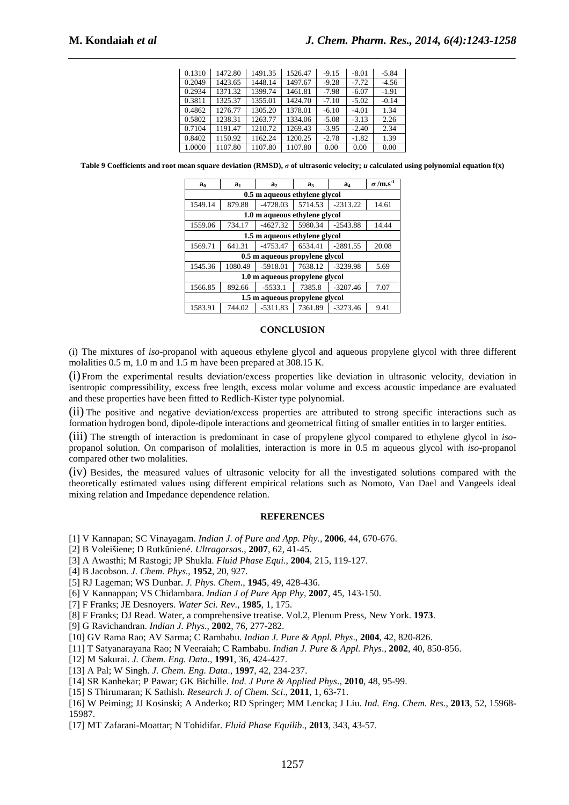| 0.1310 | 1472.80 | 1491.35 | 1526.47 | $-9.15$ | $-8.01$ | $-5.84$ |
|--------|---------|---------|---------|---------|---------|---------|
| 0.2049 | 1423.65 | 1448.14 | 1497.67 | $-9.28$ | $-7.72$ | $-4.56$ |
| 0.2934 | 1371.32 | 1399.74 | 1461.81 | $-7.98$ | $-6.07$ | $-1.91$ |
| 0.3811 | 1325.37 | 1355.01 | 1424.70 | $-7.10$ | $-5.02$ | $-0.14$ |
| 0.4862 | 1276.77 | 1305.20 | 1378.01 | $-6.10$ | $-4.01$ | 1.34    |
| 0.5802 | 1238.31 | 1263.77 | 1334.06 | $-5.08$ | $-3.13$ | 2.26    |
| 0.7104 | 1191.47 | 1210.72 | 1269.43 | $-3.95$ | $-2.40$ | 2.34    |
| 0.8402 | 1150.92 | 1162.24 | 1200.25 | $-2.78$ | $-1.82$ | 1.39    |
| 1.0000 | 1107.80 | 1107.80 | 1107.80 | 0.00    | 0.00    | 0.00    |

**Table 9 Coefficients and root mean square deviation (RMSD),** *σ* **of ultrasonic velocity;** *u* **calculated using polynomial equation f(x)** 

| a <sub>0</sub>                 | a <sub>1</sub> | a <sub>2</sub> | a <sub>3</sub> | a4         | $\sigma$ /m.s <sup>-1</sup> |  |  |  |  |  |
|--------------------------------|----------------|----------------|----------------|------------|-----------------------------|--|--|--|--|--|
| 0.5 m aqueous ethylene glycol  |                |                |                |            |                             |  |  |  |  |  |
| 1549.14                        | 879.88         | $-4728.03$     | 5714.53        | $-2313.22$ | 14.61                       |  |  |  |  |  |
| 1.0 m aqueous ethylene glycol  |                |                |                |            |                             |  |  |  |  |  |
| 1559.06                        | 734.17         | $-4627.32$     | 5980.34        | $-2543.88$ | 14.44                       |  |  |  |  |  |
| 1.5 m aqueous ethylene glycol  |                |                |                |            |                             |  |  |  |  |  |
| 1569.71                        | 641.31         | $-4753.47$     | 6534.41        | $-2891.55$ | 20.08                       |  |  |  |  |  |
| 0.5 m aqueous propylene glycol |                |                |                |            |                             |  |  |  |  |  |
| 1545.36                        | 1080.49        | $-5918.01$     | 7638.12        | $-3239.98$ | 5.69                        |  |  |  |  |  |
| 1.0 m aqueous propylene glycol |                |                |                |            |                             |  |  |  |  |  |
| 1566.85                        | 892.66         | $-5533.1$      | 7385.8         | $-3207.46$ | 7.07                        |  |  |  |  |  |
| 1.5 m aqueous propylene glycol |                |                |                |            |                             |  |  |  |  |  |
| 1583.91                        | 744.02         | $-5311.83$     | 7361.89        | $-3273.46$ | 9.41                        |  |  |  |  |  |

#### **CONCLUSION**

(i) The mixtures of *iso*-propanol with aqueous ethylene glycol and aqueous propylene glycol with three different molalities 0.5 m, 1.0 m and 1.5 m have been prepared at 308.15 K.

(i)From the experimental results deviation/excess properties like deviation in ultrasonic velocity, deviation in isentropic compressibility, excess free length, excess molar volume and excess acoustic impedance are evaluated and these properties have been fitted to Redlich-Kister type polynomial.

(ii) The positive and negative deviation/excess properties are attributed to strong specific interactions such as formation hydrogen bond, dipole-dipole interactions and geometrical fitting of smaller entities in to larger entities.

(iii) The strength of interaction is predominant in case of propylene glycol compared to ethylene glycol in *iso*propanol solution. On comparison of molalities, interaction is more in 0.5 m aqueous glycol with *iso*-propanol compared other two molalities.

(iv) Besides, the measured values of ultrasonic velocity for all the investigated solutions compared with the theoretically estimated values using different empirical relations such as Nomoto, Van Dael and Vangeels ideal mixing relation and Impedance dependence relation.

#### **REFERENCES**

[1] V Kannapan; SC Vinayagam. *Indian J. of Pure and App. Phy.,* **2006**, 44, 670-676.

- [2] B Voleišiene; D Rutkūniené. *Ultragarsas*., **2007**, 62, 41-45.
- [3] A Awasthi; M Rastogi; JP Shukla. *Fluid Phase Equi*., **2004**, 215, 119-127.
- [4] B Jacobson. *J. Chem. Phys*., **1952**, 20, 927.
- [5] RJ Lageman; WS Dunbar. *J. Phys. Chem*., **1945**, 49, 428-436.
- [6] V Kannappan; VS Chidambara. *Indian J of Pure App Phy*, **2007**, 45, 143-150.
- [7] F Franks; JE Desnoyers. *Water Sci. Rev*., **1985**, 1, 175.
- [8] F Franks; DJ Read. Water, a comprehensive treatise. Vol.2, Plenum Press, New York. **1973**.
- [9] G Ravichandran. *Indian J. Phys*., **2002**, 76, 277-282.
- [10] GV Rama Rao; AV Sarma; C Rambabu. *Indian J. Pure & Appl. Phys*., **2004**, 42, 820-826.
- [11] T Satyanarayana Rao; N Veeraiah; C Rambabu. *Indian J. Pure & Appl. Phys*., **2002**, 40, 850-856.
- [12] M Sakurai. *J. Chem. Eng. Data*., **1991**, 36, 424-427.
- [13] A Pal; W Singh. *J. Chem. Eng. Data*., **1997**, 42, 234-237.
- [14] SR Kanhekar; P Pawar; GK Bichille. *Ind. J Pure & Applied Phys*., **2010**, 48, 95-99.
- [15] S Thirumaran; K Sathish. *Research J. of Chem. Sci*., **2011**, 1, 63-71.
- [16] W Peiming; JJ Kosinski; A Anderko; RD Springer; MM Lencka; J Liu. *Ind. Eng. Chem. Res*., **2013**, 52, 15968- 15987.
- [17] MT Zafarani-Moattar; N Tohidifar. *Fluid Phase Equilib*., **2013**, 343, 43-57.